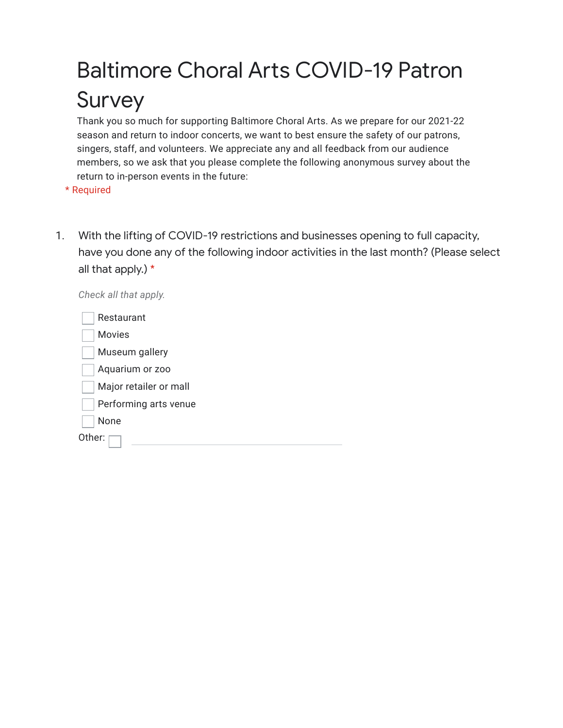## Baltimore Choral Arts COVID-19 Patron Survey

Thank you so much for supporting Baltimore Choral Arts. As we prepare for our 2021-22 season and return to indoor concerts, we want to best ensure the safety of our patrons, singers, staff, and volunteers. We appreciate any and all feedback from our audience members, so we ask that you please complete the following anonymous survey about the return to in-person events in the future:

\* Required

*Check all that apply.*

1. With the lifting of COVID-19 restrictions and businesses opening to full capacity, have you done any of the following indoor activities in the last month? (Please select all that apply.) \*

| Restaurant             |
|------------------------|
| <b>Movies</b>          |
| Museum gallery         |
| Aquarium or zoo        |
| Major retailer or mall |
| Performing arts venue  |
| None                   |
| Other:                 |
|                        |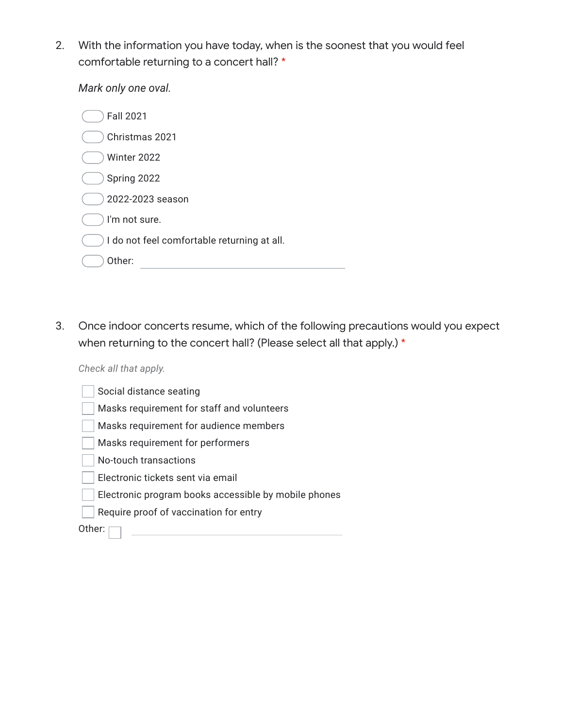2. With the information you have today, when is the soonest that you would feel comfortable returning to a concert hall? \*

*Mark only one oval.*

| <b>Fall 2021</b>                            |
|---------------------------------------------|
| Christmas 2021                              |
| Winter 2022                                 |
| Spring 2022                                 |
| 2022-2023 season                            |
| I'm not sure.                               |
| I do not feel comfortable returning at all. |
| Other:                                      |

3. Once indoor concerts resume, which of the following precautions would you expect when returning to the concert hall? (Please select all that apply.) \*

## *Check all that apply.*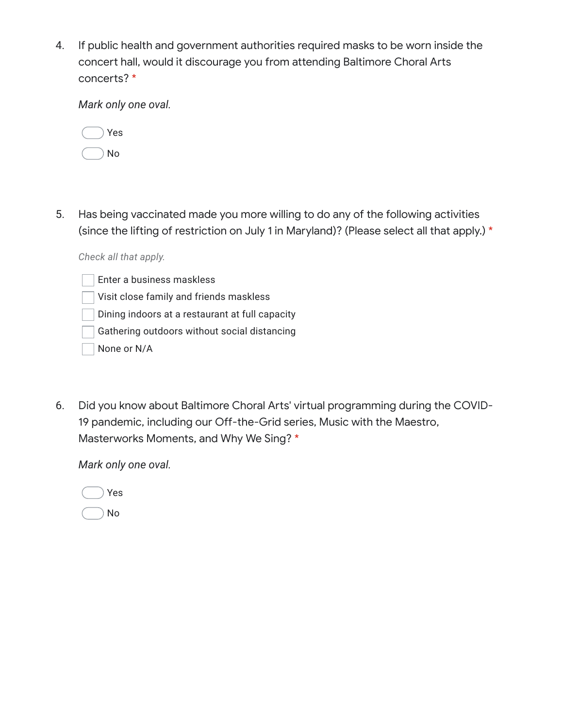4. If public health and government authorities required masks to be worn inside the concert hall, would it discourage you from attending Baltimore Choral Arts concerts? \*

*Mark only one oval.*

|  | √es |
|--|-----|
|  | N٥  |

5. Has being vaccinated made you more willing to do any of the following activities (since the lifting of restriction on July 1 in Maryland)? (Please select all that apply.) \*

*Check all that apply.*

- Enter a business maskless
- Visit close family and friends maskless
- Dining indoors at a restaurant at full capacity
- Gathering outdoors without social distancing
- None or N/A
- 6. Did you know about Baltimore Choral Arts' virtual programming during the COVID-19 pandemic, including our Off-the-Grid series, Music with the Maestro, Masterworks Moments, and Why We Sing? \*

*Mark only one oval.*

|  | Yes |
|--|-----|
|  | No  |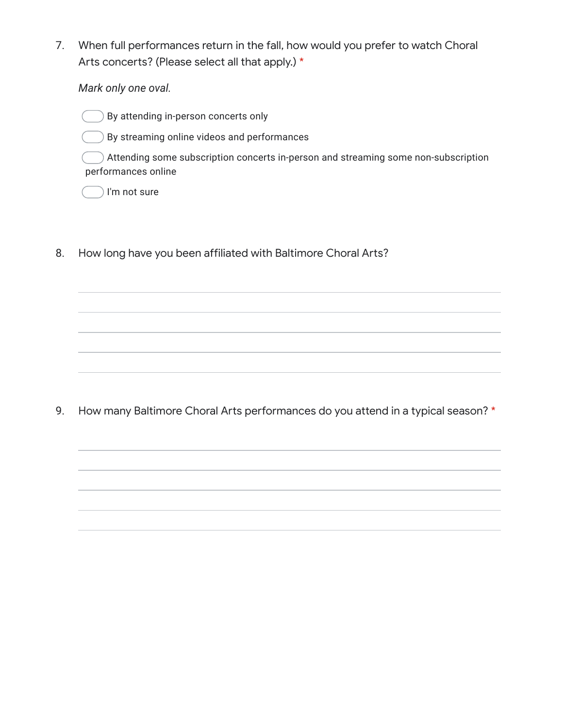7. When full performances return in the fall, how would you prefer to watch Choral Arts concerts? (Please select all that apply.) \*

*Mark only one oval.*

By attending in-person concerts only

By streaming online videos and performances

Attending some subscription concerts in-person and streaming some non-subscription performances online

I'm not sure

8. How long have you been affiliated with Baltimore Choral Arts?

9. How many Baltimore Choral Arts performances do you attend in a typical season? \*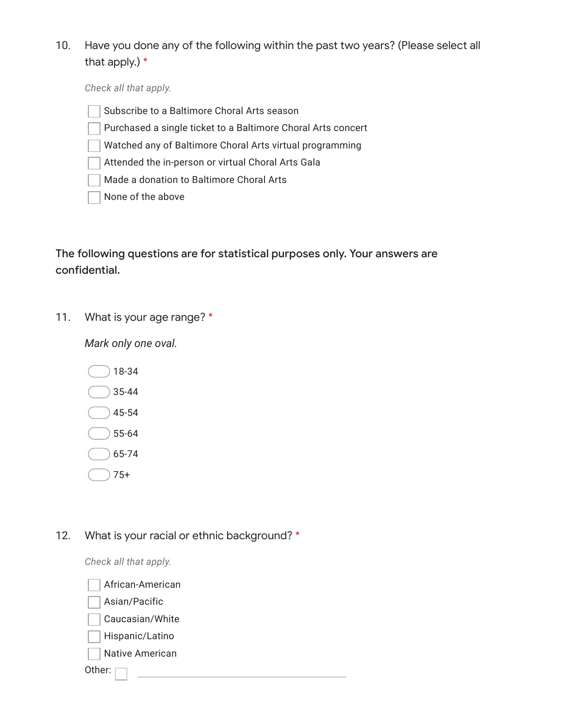10. Have you done any of the following within the past two years? (Please select all that apply.) \*

*Check all that apply.*

- Subscribe to a Baltimore Choral Arts season
- Purchased a single ticket to a Baltimore Choral Arts concert
- Watched any of Baltimore Choral Arts virtual programming
- Attended the in-person or virtual Choral Arts Gala
- Made a donation to Baltimore Choral Arts
- None of the above

The following questions are for statistical purposes only. Your answers are confidential.

11. What is your age range? \*

*Mark only one oval.*

18-34 35-44 45-54 55-64 65-74

75+

12. What is your racial or ethnic background? \*

*Check all that apply.*

Other: African-American Asian/Pacific Caucasian/White Hispanic/Latino Native American